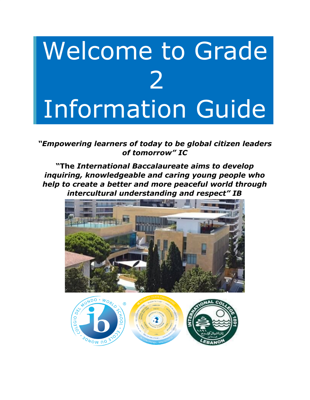# Welcome to Grade 2 Information Guide

*"Empowering learners of today to be global citizen leaders of tomorrow" IC*

**"The** *International Baccalaureate aims to develop inquiring, knowledgeable and caring young people who help to create a better and more peaceful world through intercultural understanding and respect" IB*



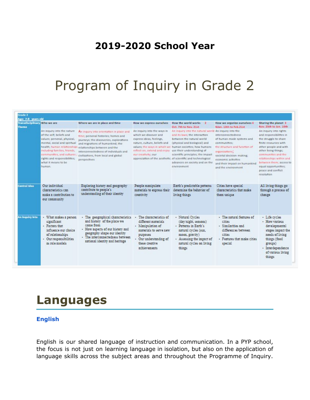### **2019-2020 School Year**

### Program of Inquiry in Grade 2

| Transdisciplinary Who we are<br>Theme |                                                                                                                                                                                                                                                       | Where we are in place and time                                                                                                                                                                                                                                                                                               | How we express ourselves                                                                                                                                                | How the world works 2<br>Oct. 7th to Nov. 21st                                                                                                                                                                                                                                                                                                                                                         | How we organize ourselves 4<br>NJan. 13th to Feb.21st                                                                                                                                                                          | Sharing the planet 3<br>Nov. 25th to Jan. 10th                                                                                                                                                                                                                                                 |
|---------------------------------------|-------------------------------------------------------------------------------------------------------------------------------------------------------------------------------------------------------------------------------------------------------|------------------------------------------------------------------------------------------------------------------------------------------------------------------------------------------------------------------------------------------------------------------------------------------------------------------------------|-------------------------------------------------------------------------------------------------------------------------------------------------------------------------|--------------------------------------------------------------------------------------------------------------------------------------------------------------------------------------------------------------------------------------------------------------------------------------------------------------------------------------------------------------------------------------------------------|--------------------------------------------------------------------------------------------------------------------------------------------------------------------------------------------------------------------------------|------------------------------------------------------------------------------------------------------------------------------------------------------------------------------------------------------------------------------------------------------------------------------------------------|
|                                       | An inquiry into the nature<br>of the self; beliefs and<br>values; personal, physical,<br>mental, social and spiritual<br>Including families, friends,<br>communities, and cultures ;<br>rights and responsibilities;<br>what it means to be<br>human. | An inquiry into orientation in place and<br>fime; personal histories; homes and<br>journeys: the discoveries, explorations<br>and migrations of humankind; the<br>health; human relationships relationships between and the<br>interconnectedness of individuals and<br>civilizations, from local and global<br>perspectives | An inquiry into the ways in<br>which we discover and<br>express ideas, feelings,<br>nature, culture, beliefs and<br>reflect on, extend and enjoy<br>dur creativity; our | An inquiry into the natural world An inquiry into the<br>and its laws; the interaction<br>between the natural world<br>(physical and biological) and<br>values; the ways in which we human societies; how humans<br>use their understanding of<br>scientific principles; the impact<br>appreciation of the aesthetic, of scientific and technological<br>advances on society and on the<br>environment | interconnectedness<br>of human made systems and<br>communities:<br>the structure and function of<br>organizations;<br>societal decision making:<br>economic activities<br>and their impact on humankind<br>and the environment | An inquiry into rights<br>and responsibilities in<br>the struggle to share<br>finite resources with<br>other people and with<br>other living things;<br>communities and the<br>relationships within and<br>between them; access to<br>equal opportunities;<br>peace and conflict<br>resolution |
| Central Idea                          | Our individual<br>characterístics can<br>make a contribution to<br>our community                                                                                                                                                                      | Exploring history and geography<br>contribute to people's<br>understanding of their identity                                                                                                                                                                                                                                 | People manipulate<br>materials to express their<br>creativity                                                                                                           | Earth's predictable patterns<br>determine the behavior of<br>living things                                                                                                                                                                                                                                                                                                                             | Cities have special<br>characteristics that make<br>them unique                                                                                                                                                                | All living things go<br>through a process of<br>change                                                                                                                                                                                                                                         |
| An inquiry into                       | · What makes a person<br>significant<br>· Factors that<br>influence our choice<br>of relationships<br>· Our responsibilities<br>as role models                                                                                                        | · The geographical characteristics<br>and history of the place we<br>come from<br>· How aspects of our history and<br>geography shape our identity<br>· The interconnectedness between<br>national identity and heritage                                                                                                     | The characteristics of<br>different materials<br>· Manipulation of<br>materials to serve new<br>purposes<br>· Our understanding of<br>these creative<br>achievements    | · Natural Cycles<br>(day/night, seasons)<br>- Patterns in Earth's<br>natural cycles (sun,<br>moon, gravity)<br>- Assessing the impact of<br>natural cycles on living<br>things                                                                                                                                                                                                                         | · The natural features of<br>cities<br>· Similarities and<br>differences between<br>cities<br>· Features that make cities<br>special                                                                                           | · Life cycles<br>· How various<br>developmental<br>stages impact the<br>needs of living<br>things (food<br>groups)<br>· Interdependence<br>of various living<br>things                                                                                                                         |

### **Languages**

#### **English**

English is our shared language of instruction and communication. In a PYP school, the focus is not just on learning language in isolation, but also on the application of language skills across the subject areas and throughout the Programme of Inquiry.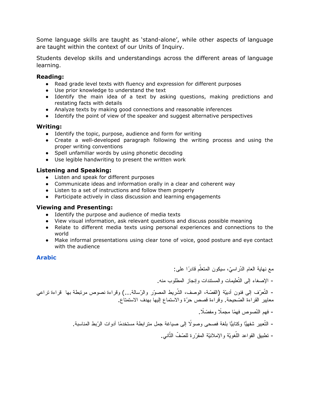Some language skills are taught as 'stand-alone', while other aspects of language are taught within the context of our Units of Inquiry.

Students develop skills and understandings across the different areas of language learning.

#### **Reading:**

- Read grade level texts with fluency and expression for different purposes
- Use prior knowledge to understand the text
- Identify the main idea of a text by asking questions, making predictions and restating facts with details
- Analyze texts by making good connections and reasonable inferences
- Identify the point of view of the speaker and suggest alternative perspectives

#### **Writing:**

- Identify the topic, purpose, audience and form for writing
- Create a well-developed paragraph following the writing process and using the proper writing conventions
- Spell unfamiliar words by using phonetic decoding
- Use legible handwriting to present the written work

#### **Listening and Speaking:**

- Listen and speak for different purposes
- Communicate ideas and information orally in a clear and coherent way
- Listen to a set of instructions and follow them properly
- Participate actively in class discussion and learning engagements

#### **Viewing and Presenting:**

- Identify the purpose and audience of media texts
- View visual information, ask relevant questions and discuss possible meaning
- Relate to different media texts using personal experiences and connections to the world
- Make informal presentations using clear tone of voice, good posture and eye contact with the audience

#### **Arabic**

مع نهاية العام الدّراسيّ، سيكون المتعلّم قادرًا على: - الإصغاء إلى التّعلیمات والمستندات وإنجاز المطلوب منه. - النّعرّف إلى فنون أدبيّة (القصّة، الوصف، الشّريط المصوّر والرّسالة...) وقراءة نصوص مرتبطة بها قراءة نراعي معاییر القراءة الصّحیحة. وقراءة قصص حرّة والاستماع إلیها بهدف الاستمتاع. - فهم النّصوص فهمًا مجملًا ومفصّلًا. – التّعبير شفهيًّا وكتابيًّا بلغة فصحى وصولًا إلى صياغة جمل متر ابطة مستخدمًا أدوات الرّ بط المناسبة. - تطبيق القواعد اللّغويّة والإملائيّة المقرّرة للصّفّ الثّاني.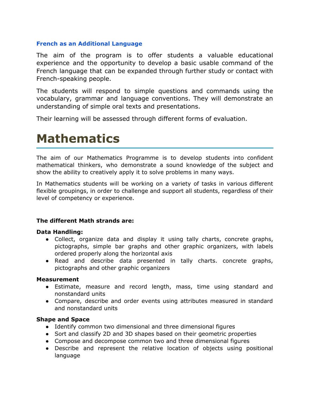#### **French as an Additional Language**

The aim of the program is to offer students a valuable educational experience and the opportunity to develop a basic usable command of the French language that can be expanded through further study or contact with French-speaking people.

The students will respond to simple questions and commands using the vocabulary, grammar and language conventions. They will demonstrate an understanding of simple oral texts and presentations.

Their learning will be assessed through different forms of evaluation.

### **Mathematics**

The aim of our Mathematics Programme is to develop students into confident mathematical thinkers, who demonstrate a sound knowledge of the subject and show the ability to creatively apply it to solve problems in many ways.

In Mathematics students will be working on a variety of tasks in various different flexible groupings, in order to challenge and support all students, regardless of their level of competency or experience.

#### **The different Math strands are:**

#### **Data Handling:**

- Collect, organize data and display it using tally charts, concrete graphs, pictographs, simple bar graphs and other graphic organizers, with labels ordered properly along the horizontal axis
- Read and describe data presented in tally charts. concrete graphs, pictographs and other graphic organizers

#### **Measurement**

- Estimate, measure and record length, mass, time using standard and nonstandard units
- Compare, describe and order events using attributes measured in standard and nonstandard units

#### **Shape and Space**

- Identify common two dimensional and three dimensional figures
- Sort and classify 2D and 3D shapes based on their geometric properties
- Compose and decompose common two and three dimensional figures
- Describe and represent the relative location of objects using positional language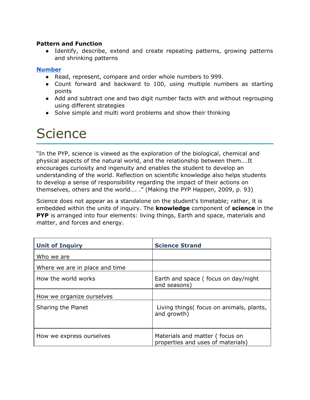#### **Pattern and Function**

● Identify, describe, extend and create repeating patterns, growing patterns and shrinking patterns

#### **Number**

- Read, represent, compare and order whole numbers to 999.
- Count forward and backward to 100, using multiple numbers as starting points
- Add and subtract one and two digit number facts with and without regrouping using different strategies
- Solve simple and multi word problems and show their thinking

### **Science**

"In the PYP, science is viewed as the exploration of the biological, chemical and physical aspects of the natural world, and the relationship between them….It encourages curiosity and ingenuity and enables the student to develop an understanding of the world. Reflection on scientific knowledge also helps students to develop a sense of responsibility regarding the impact of their actions on themselves, others and the world…. ." (Making the PYP Happen, 2009, p. 93)

Science does not appear as a standalone on the student's timetable; rather, it is embedded within the units of inquiry. The **knowledge** component of **science** in the **PYP** is arranged into four elements: living things, Earth and space, materials and matter, and forces and energy.

| <b>Unit of Inquiry</b>         | <b>Science Strand</b>                                               |
|--------------------------------|---------------------------------------------------------------------|
| Who we are                     |                                                                     |
| Where we are in place and time |                                                                     |
| How the world works            | Earth and space (focus on day/night<br>and seasons)                 |
| How we organize ourselves      |                                                                     |
| Sharing the Planet             | Living things (focus on animals, plants,<br>and growth)             |
| How we express ourselves       | Materials and matter (focus on<br>properties and uses of materials) |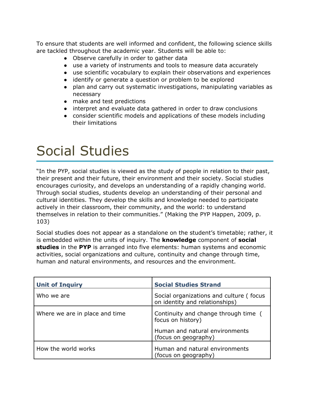To ensure that students are well informed and confident, the following science skills are tackled throughout the academic year. Students will be able to:

- Observe carefully in order to gather data
- use a variety of instruments and tools to measure data accurately
- use scientific vocabulary to explain their observations and experiences
- identify or generate a question or problem to be explored
- plan and carry out systematic investigations, manipulating variables as necessary
- make and test predictions
- interpret and evaluate data gathered in order to draw conclusions
- consider scientific models and applications of these models including their limitations

# Social Studies

"In the PYP, social studies is viewed as the study of people in relation to their past, their present and their future, their environment and their society. Social studies encourages curiosity, and develops an understanding of a rapidly changing world. Through social studies, students develop an understanding of their personal and cultural identities. They develop the skills and knowledge needed to participate actively in their classroom, their community, and the world: to understand themselves in relation to their communities." (Making the PYP Happen, 2009, p. 103)

Social studies does not appear as a standalone on the student's timetable; rather, it is embedded within the units of inquiry. The **knowledge** component of **social studies** in the **PYP** is arranged into five elements: human systems and economic activities, social organizations and culture, continuity and change through time, human and natural environments, and resources and the environment.

| <b>Unit of Inquiry</b>         | <b>Social Studies Strand</b>                                              |
|--------------------------------|---------------------------------------------------------------------------|
| Who we are                     | Social organizations and culture (focus<br>on identity and relationships) |
| Where we are in place and time | Continuity and change through time (<br>focus on history)                 |
|                                | Human and natural environments<br>(focus on geography)                    |
| How the world works            | Human and natural environments<br>(focus on geography)                    |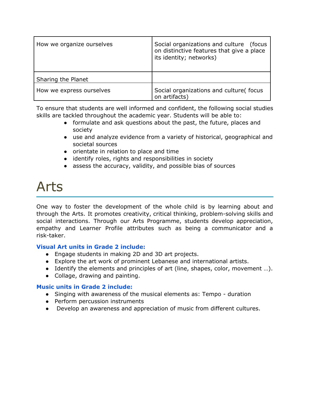| How we organize ourselves | Social organizations and culture<br>(focus<br>on distinctive features that give a place<br>its identity; networks) |
|---------------------------|--------------------------------------------------------------------------------------------------------------------|
| Sharing the Planet        |                                                                                                                    |
| How we express ourselves  | Social organizations and culture(focus<br>on artifacts)                                                            |

To ensure that students are well informed and confident, the following social studies skills are tackled throughout the academic year. Students will be able to:

- formulate and ask questions about the past, the future, places and society
- use and analyze evidence from a variety of historical, geographical and societal sources
- orientate in relation to place and time
- identify roles, rights and responsibilities in society
- assess the accuracy, validity, and possible bias of sources

## Arts

One way to foster the development of the whole child is by learning about and through the Arts. It promotes creativity, critical thinking, problem-solving skills and social interactions. Through our Arts Programme, students develop appreciation, empathy and Learner Profile attributes such as being a communicator and a risk-taker.

#### **Visual Art units in Grade 2 include:**

- Engage students in making 2D and 3D art projects.
- Explore the art work of prominent Lebanese and international artists.
- Identify the elements and principles of art (line, shapes, color, movement …).
- Collage, drawing and painting.

#### **Music units in Grade 2 include:**

- Singing with awareness of the musical elements as: Tempo duration
- Perform percussion instruments
- Develop an awareness and appreciation of music from different cultures.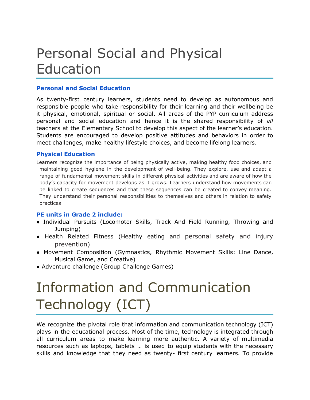## Personal Social and Physical Education

#### **Personal and Social Education**

As twenty-first century learners, students need to develop as autonomous and responsible people who take responsibility for their learning and their wellbeing be it physical, emotional, spiritual or social. All areas of the PYP curriculum address personal and social education and hence it is the shared responsibility of *all* teachers at the Elementary School to develop this aspect of the learner's education. Students are encouraged to develop positive attitudes and behaviors in order to meet challenges, make healthy lifestyle choices, and become lifelong learners.

#### **Physical Education**

Learners recognize the importance of being physically active, making healthy food choices, and maintaining good hygiene in the development of well-being. They explore, use and adapt a range of fundamental movement skills in different physical activities and are aware of how the body's capacity for movement develops as it grows. Learners understand how movements can be linked to create sequences and that these sequences can be created to convey meaning. They understand their personal responsibilities to themselves and others in relation to safety practices

#### **PE units in Grade 2 include:**

- Individual Pursuits (Locomotor Skills, Track And Field Running, Throwing and Jumping)
- Health Related Fitness (Healthy eating and personal safety and injury prevention)
- Movement Composition (Gymnastics, Rhythmic Movement Skills: Line Dance, Musical Game, and Creative)
- Adventure challenge (Group Challenge Games)

# Information and Communication Technology (ICT)

We recognize the pivotal role that information and communication technology (ICT) plays in the educational process. Most of the time, technology is integrated through all curriculum areas to make learning more authentic. A variety of multimedia resources such as laptops, tablets … is used to equip students with the necessary skills and knowledge that they need as twenty- first century learners. To provide